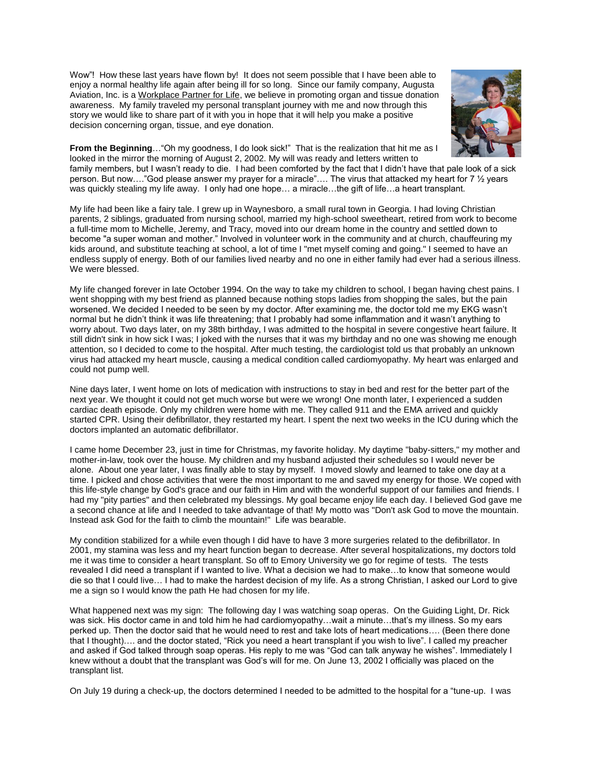Wow"! How these last years have flown by! It does not seem possible that I have been able to enjoy a normal healthy life again after being ill for so long. Since our family company, Augusta Aviation, Inc. is [a Workplace Partner for Life,](http://www.lifelinkfound.org/index.cfm) we believe in promoting organ and tissue donation awareness. My family traveled my personal transplant journey with me and now through this story we would like to share part of it with you in hope that it will help you make a positive decision concerning organ, tissue, and eye donation.



**From the Beginning**…"Oh my goodness, I do look sick!" That is the realization that hit me as I looked in the mirror the morning of August 2, 2002. My will was ready and letters written to

family members, but I wasn't ready to die. I had been comforted by the fact that I didn't have that pale look of a sick person. But now…."God please answer my prayer for a miracle"…. The virus that attacked my heart for 7 ½ years was quickly stealing my life away. I only had one hope... a miracle...the gift of life...a heart transplant.

My life had been like a fairy tale. I grew up in Waynesboro, a small rural town in Georgia. I had loving Christian parents, 2 siblings, graduated from nursing school, married my high-school sweetheart, retired from work to become a full-time mom to Michelle, Jeremy, and Tracy, moved into our dream home in the country and settled down to become "a super woman and mother." Involved in volunteer work in the community and at church, chauffeuring my kids around, and substitute teaching at school, a lot of time I "met myself coming and going." I seemed to have an endless supply of energy. Both of our families lived nearby and no one in either family had ever had a serious illness. We were blessed.

My life changed forever in late October 1994. On the way to take my children to school, I began having chest pains. I went shopping with my best friend as planned because nothing stops ladies from shopping the sales, but the pain worsened. We decided I needed to be seen by my doctor. After examining me, the doctor told me my EKG wasn't normal but he didn't think it was life threatening; that I probably had some inflammation and it wasn't anything to worry about. Two days later, on my 38th birthday, I was admitted to the hospital in severe congestive heart failure. It still didn't sink in how sick I was; I joked with the nurses that it was my birthday and no one was showing me enough attention, so I decided to come to the hospital. After much testing, the cardiologist told us that probably an unknown virus had attacked my heart muscle, causing a medical condition called cardiomyopathy. My heart was enlarged and could not pump well.

Nine days later, I went home on lots of medication with instructions to stay in bed and rest for the better part of the next year. We thought it could not get much worse but were we wrong! One month later, I experienced a sudden cardiac death episode. Only my children were home with me. They called 911 and the EMA arrived and quickly started CPR. Using their defibrillator, they restarted my heart. I spent the next two weeks in the ICU during which the doctors implanted an automatic defibrillator.

I came home December 23, just in time for Christmas, my favorite holiday. My daytime "baby-sitters," my mother and mother-in-law, took over the house. My children and my husband adjusted their schedules so I would never be alone. About one year later, I was finally able to stay by myself. I moved slowly and learned to take one day at a time. I picked and chose activities that were the most important to me and saved my energy for those. We coped with this life-style change by God's grace and our faith in Him and with the wonderful support of our families and friends. I had my "pity parties" and then celebrated my blessings. My goal became enjoy life each day. I believed God gave me a second chance at life and I needed to take advantage of that! My motto was "Don't ask God to move the mountain. Instead ask God for the faith to climb the mountain!" Life was bearable.

My condition stabilized for a while even though I did have to have 3 more surgeries related to the defibrillator. In 2001, my stamina was less and my heart function began to decrease. After several hospitalizations, my doctors told me it was time to consider a heart transplant. So off to Emory University we go for regime of tests. The tests revealed I did need a transplant if I wanted to live. What a decision we had to make…to know that someone would die so that I could live… I had to make the hardest decision of my life. As a strong Christian, I asked our Lord to give me a sign so I would know the path He had chosen for my life.

What happened next was my sign: The following day I was watching soap operas. On the Guiding Light, Dr. Rick was sick. His doctor came in and told him he had cardiomyopathy…wait a minute…that's my illness. So my ears perked up. Then the doctor said that he would need to rest and take lots of heart medications…. (Been there done that I thought)…. and the doctor stated, "Rick you need a heart transplant if you wish to live". I called my preacher and asked if God talked through soap operas. His reply to me was "God can talk anyway he wishes". Immediately I knew without a doubt that the transplant was God's will for me. On June 13, 2002 I officially was placed on the transplant list.

On July 19 during a check-up, the doctors determined I needed to be admitted to the hospital for a "tune-up. I was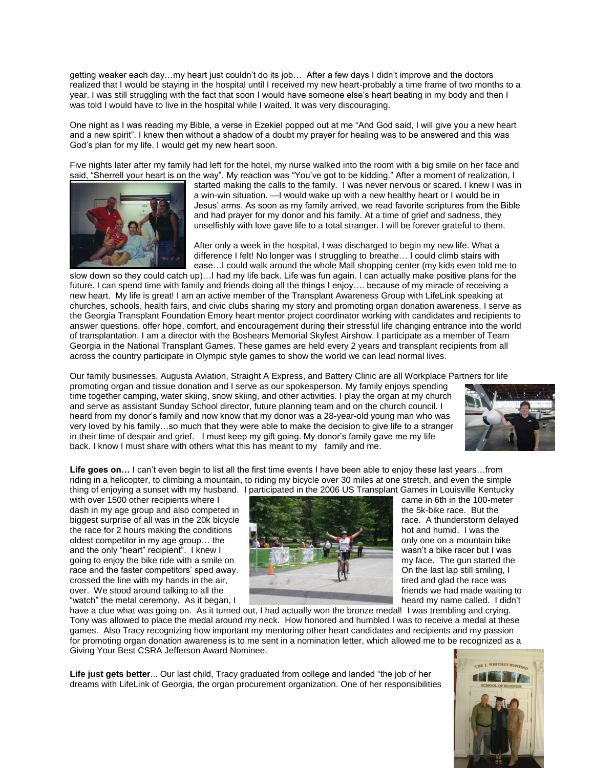getting weaker each day…my heart just couldn't do its job… After a few days I didn't improve and the doctors realized that I would be staying in the hospital until I received my new heart-probably a time frame of two months to a year. I was still struggling with the fact that soon I would have someone else's heart beating in my body and then I was told I would have to live in the hospital while I waited. It was very discouraging.

One night as I was reading my Bible, a verse in Ezekiel popped out at me "And God said, I will give you a new heart and a new spirit". I knew then without a shadow of a doubt my prayer for healing was to be answered and this was God's plan for my life. I would get my new heart soon.

Five nights later after my family had left for the hotel, my nurse walked into the room with a big smile on her face and said, "Sherrell your heart is on the way". My reaction was "You've got to be kidding." After a moment of realization, I



started making the calls to the family. I was never nervous or scared. I knew I was in a win-win situation. —I would wake up with a new healthy heart or I would be in Jesus' arms. As soon as my family arrived, we read favorite scriptures from the Bible and had prayer for my donor and his family. At a time of grief and sadness, they unselfishly with love gave life to a total stranger. I will be forever grateful to them.

After only a week in the hospital, I was discharged to begin my new life. What a difference I felt! No longer was I struggling to breathe… I could climb stairs with ease…I could walk around the whole Mall shopping center (my kids even told me to

slow down so they could catch up)…I had my life back. Life was fun again. I can actually make positive plans for the future. I can spend time with family and friends doing all the things I enjoy.... because of my miracle of receiving a new heart. My life is great! I am an active member of the Transplant Awareness Group with LifeLink speaking at churches, schools, health fairs, and civic clubs sharing my story and promoting organ donation awareness, I serve as the Georgia Transplant Foundation Emory heart mentor project coordinator working with candidates and recipients to answer questions, offer hope, comfort, and encouragement during their stressful life changing entrance into the world of transplantation. I am a director with the Boshears Memorial Skyfest Airshow. I participate as a member of Team Georgia in the National Transplant Games. These games are held every 2 years and transplant recipients from all across the country participate in Olympic style games to show the world we can lead normal lives.

Our family businesses, Augusta Aviation, Straight A Express, and Battery Clinic are all Workplace Partners for life promoting organ and tissue donation and I serve as our spokesperson. My family enjoys spending time together camping, water skiing, snow skiing, and other activities. I play the organ at my church and serve as assistant Sunday School director, future planning team and on the church council. I heard from my donor's family and now know that my donor was a 28-year-old young man who was very loved by his family…so much that they were able to make the decision to give life to a stranger in their time of despair and grief. I must keep my gift going. My donor's family gave me my life back. I know I must share with others what this has meant to my family and me.



**Life goes on…** I can't even begin to list all the first time events I have been able to enjoy these last years…from riding in a helicopter, to climbing a mountain, to riding my bicycle over 30 miles at one stretch, and even the simple thing of enjoying a sunset with my husband. I participated in the 2006 US Transplant Games in Louisville Kentucky

with over 1500 other recipients where I came in 6th in the 100-meter dash in my age group and also competed in the 5k-bike race. But the 5k-bike race. But the biggest surprise of all was in the 20k bicycle **race.** A thunderstorm delayed the race for 2 hours making the conditions hot and humid. I was the oldest competitor in my age group... the only one on a mountain bike and the only "heart" recipient". I knew I wasn't a bike racer but I was going to enjoy the bike ride with a smile on my face. The gun started the race and the faster competitors' sped away. The state of the last lap still smiling, I crossed the line with my hands in the air, tired and glad the race was over. We stood around talking to all the friends we had made waiting to friends we had made waiting to friends we had made waiting to friends we had made waiting to friends we had made waiting to friends we had made waitin "watch" the metal ceremony. As it began, I



have a clue what was going on. As it turned out, I had actually won the bronze medal! I was trembling and crying. Tony was allowed to place the medal around my neck. How honored and humbled I was to receive a medal at these games. Also Tracy recognizing how important my mentoring other heart candidates and recipients and my passion for promoting organ donation awareness is to me sent in a nomination letter, which allowed me to be recognized as a Giving Your Best CSRA Jefferson Award Nominee.

**Life just gets better**... Our last child, Tracy graduated from college and landed "the job of her dreams with LifeLink of Georgia, the organ procurement organization. One of her responsibilities

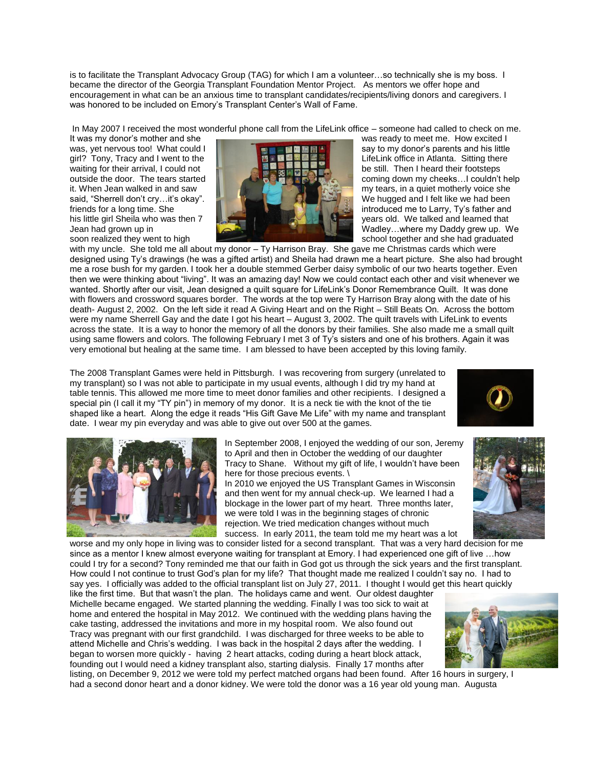is to facilitate the Transplant Advocacy Group (TAG) for which I am a volunteer…so technically she is my boss. I became the director of the Georgia Transplant Foundation Mentor Project. As mentors we offer hope and encouragement in what can be an anxious time to transplant candidates/recipients/living donors and caregivers. I was honored to be included on Emory's Transplant Center's Wall of Fame.

In May 2007 I received the most wonderful phone call from the LifeLink office – someone had called to check on me.<br>It was my donor's mother and she



It was my donor's mother and she<br>was vet nervous too! What could I say to my donor's parents and his little girl? Tony, Tracy and I went to the LifeLink office in Atlanta. Sitting there outside the door. The tears started coming down my cheeks...I couldn't help it. When Jean walked in and saw **the state of the state of the state of the state in a quiet motherly voice she** said, "Sherrell don't cry…it's okay". We hugged and I felt like we had been friends for a long time. She introduced me to Larry, Ty's father and his little girl Sheila who was then 7 years old. We talked and learned that Jean had grown up in Wadley went to high the school of the school together and she had graduated school together and she had graduated

with my uncle. She told me all about my donor – Ty Harrison Bray. She gave me Christmas cards which were designed using Ty's drawings (he was a gifted artist) and Sheila had drawn me a heart picture. She also had brought me a rose bush for my garden. I took her a double stemmed Gerber daisy symbolic of our two hearts together. Even then we were thinking about "living". It was an amazing day! Now we could contact each other and visit whenever we wanted. Shortly after our visit, Jean designed a quilt square for LifeLink's Donor Remembrance Quilt. It was done with flowers and crossword squares border. The words at the top were Ty Harrison Bray along with the date of his death- August 2, 2002. On the left side it read A Giving Heart and on the Right – Still Beats On. Across the bottom were my name Sherrell Gay and the date I got his heart – August 3, 2002. The quilt travels with LifeLink to events across the state. It is a way to honor the memory of all the donors by their families. She also made me a small quilt using same flowers and colors. The following February I met 3 of Ty's sisters and one of his brothers. Again it was very emotional but healing at the same time. I am blessed to have been accepted by this loving family.

The 2008 Transplant Games were held in Pittsburgh. I was recovering from surgery (unrelated to my transplant) so I was not able to participate in my usual events, although I did try my hand at table tennis. This allowed me more time to meet donor families and other recipients. I designed a special pin (I call it my "TY pin") in memory of my donor. It is a neck tie with the knot of the tie shaped like a heart. Along the edge it reads "His Gift Gave Me Life" with my name and transplant date. I wear my pin everyday and was able to give out over 500 at the games.





In September 2008, I enjoyed the wedding of our son, Jeremy to April and then in October the wedding of our daughter Tracy to Shane. Without my gift of life, I wouldn't have been here for those precious events. \

In 2010 we enjoyed the US Transplant Games in Wisconsin and then went for my annual check-up. We learned I had a blockage in the lower part of my heart. Three months later, we were told I was in the beginning stages of chronic rejection. We tried medication changes without much success. In early 2011, the team told me my heart was a lot

worse and my only hope in living was to consider listed for a second transplant. That was a very hard decision for me since as a mentor I knew almost everyone waiting for transplant at Emory. I had experienced one gift of live …how could I try for a second? Tony reminded me that our faith in God got us through the sick years and the first transplant. How could I not continue to trust God's plan for my life? That thought made me realized I couldn't say no. I had to say yes. I officially was added to the official transplant list on July 27, 2011. I thought I would get this heart quickly

like the first time. But that wasn't the plan. The holidays came and went. Our oldest daughter Michelle became engaged. We started planning the wedding. Finally I was too sick to wait at home and entered the hospital in May 2012. We continued with the wedding plans having the cake tasting, addressed the invitations and more in my hospital room. We also found out Tracy was pregnant with our first grandchild. I was discharged for three weeks to be able to attend Michelle and Chris's wedding. I was back in the hospital 2 days after the wedding. I began to worsen more quickly - having 2 heart attacks, coding during a heart block attack, founding out I would need a kidney transplant also, starting dialysis. Finally 17 months after



listing, on December 9, 2012 we were told my perfect matched organs had been found. After 16 hours in surgery, I had a second donor heart and a donor kidney. We were told the donor was a 16 year old young man. Augusta